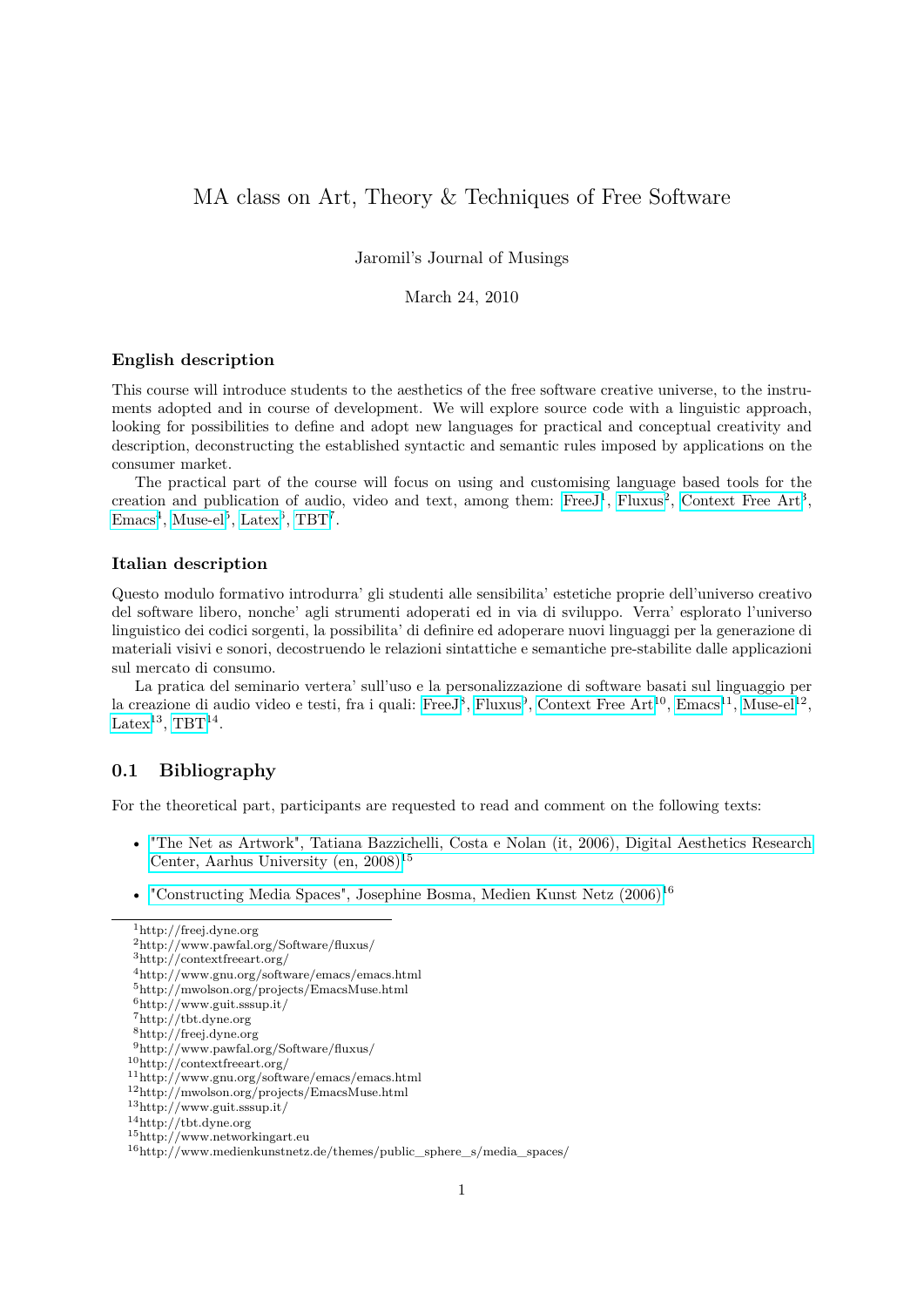# MA class on Art, Theory & Techniques of Free Software

Jaromil's Journal of Musings

### March 24, 2010

#### **English description**

This course will introduce students to the aesthetics of the free software creative universe, to the instruments adopted and in course of development. We will explore source code with a linguistic approach, looking for possibilities to define and adopt new languages for practical and conceptual creativity and description, deconstructing the established syntactic and semantic rules imposed by applications on the consumer market.

The practical part of the course will focus on using and customising language based tools for the creation and publication of audio, video and text, among them: Free J<sup>1</sup>, [Fluxus](http://www.pawfal.org/Software/fluxus/)<sup>2</sup>, [Context Free Art](http://contextfreeart.org/)<sup>3</sup>,  $\text{Emacs}^4$  $\text{Emacs}^4$  $\text{Emacs}^4$ , [Muse-el](http://mwolson.org/projects/EmacsMuse.html)<sup>5</sup>, [Latex](http://www.guit.sssup.it/)<sup>6</sup>, [TBT](http://tbt.dyne.org)<sup>7</sup>.

#### **Italian description**

Questo modulo formativo introdurra' gli studenti alle sensibilita' estetiche proprie dell'universo creativo del software libero, nonche' agli strumenti adoperati ed in via di sviluppo. Verra' esplorato l'universo linguistico dei codici sorgenti, la possibilita' di definire ed adoperare nuovi linguaggi per la generazione di materiali visivi e sonori, decostruendo le relazioni sintattiche e semantiche pre-stabilite dalle applicazioni sul mercato di consumo.

La pratica del seminario vertera' sull'uso e la personalizzazione di software basati sul linguaggio per la creazione di audio video e testi, fra i quali: [FreeJ](http://freej.dyne.org)<sup>8</sup>, [Fluxus](http://www.pawfal.org/Software/fluxus/)<sup>9</sup>, [Context Free Art](http://contextfreeart.org/)<sup>10</sup>, [Emacs](http://www.gnu.org/software/emacs/emacs.html)<sup>11</sup>, [Muse-el](http://mwolson.org/projects/EmacsMuse.html)<sup>12</sup>, [Latex](http://www.guit.sssup.it/)<sup>13</sup>, [TBT](http://tbt.dyne.org)<sup>14</sup>.

### **0.1 Bibliography**

For the theoretical part, participants are requested to read and comment on the following texts:

- ["The Net as Artwork", Tatiana Bazzichelli, Costa e Nolan \(it, 2006\), Digital Aesthetics Research](http://www.networkingart.eu) [Center, Aarhus University \(en, 2008\)](http://www.networkingart.eu)<sup>15</sup>
- "Constructing Media Spaces", Josephine Bosma, Medien Kunst Netz  $(2006)^{16}$

 $\rm ^1$ http://freej.dyne.org

<sup>2</sup>http://www.pawfal.org/Software/fluxus/

<sup>3</sup>http://contextfreeart.org/

<sup>4</sup>http://www.gnu.org/software/emacs/emacs.html

<sup>5</sup>http://mwolson.org/projects/EmacsMuse.html

 $^6$ http://www.guit.sssup.it/

<sup>7</sup>http://tbt.dyne.org

<sup>8</sup>http://freej.dyne.org

<sup>9</sup>http://www.pawfal.org/Software/fluxus/

<sup>10</sup>http://contextfreeart.org/

<sup>11</sup>http://www.gnu.org/software/emacs/emacs.html

<sup>12</sup>http://mwolson.org/projects/EmacsMuse.html

<sup>13</sup>http://www.guit.sssup.it/

<sup>14</sup>http://tbt.dyne.org

<sup>15</sup>http://www.networkingart.eu

 $16$ http://www.medienkunstnetz.de/themes/public sphere s/media spaces/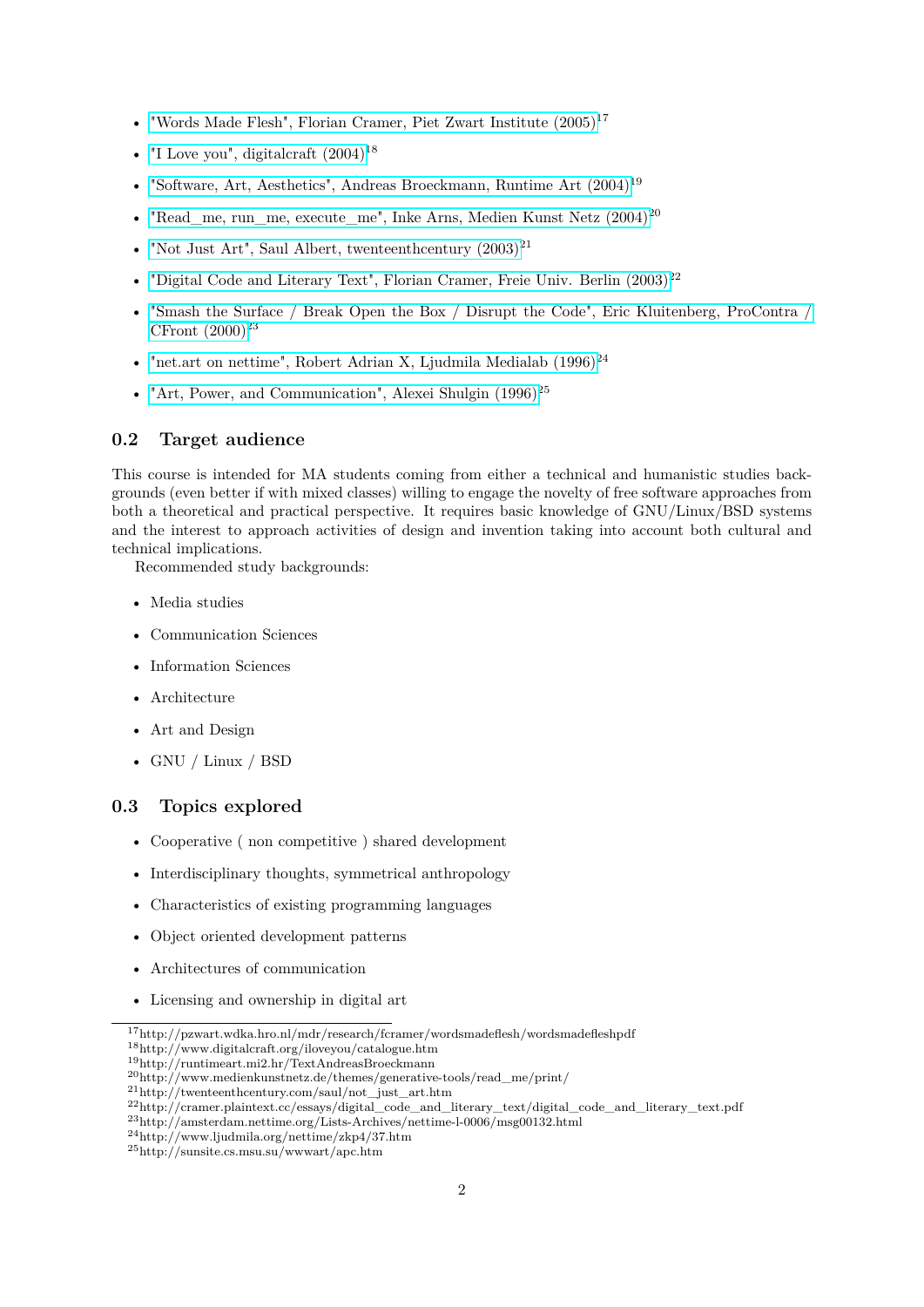- "Words Made Flesh", Florian Cramer, Piet Zwart Institute  $(2005)^{17}$
- "I Love you", digitalcraft  $(2004)^{18}$
- "Software, Art, Aesthetics", Andreas Broeckmann, Runtime Art  $(2004)^{19}$
- "Read me, run me, execute me", Inke Arns, Medien Kunst Netz  $(2004)^{20}$
- "Not Just Art", Saul Albert, twenteenthcentury  $(2003)^{21}$
- "Digital Code and Literary Text", Florian Cramer, Freie Univ. Berlin  $(2003)^{22}$
- ["Smash the Surface / Break Open the Box / Disrupt the Code", Eric Kluitenberg, ProContra /](http://amsterdam.nettime.org/Lists-Archives/nettime-l-0006/msg00132.html) CFront  $(2000)^{23}$
- "net.art on nettime", Robert Adrian X, Ljudmila Medialab  $(1996)^{24}$
- "Art, Power, and Communication", Alexei Shulgin  $(1996)^{25}$

#### **0.2 Target audience**

This course is intended for MA students coming from either a technical and humanistic studies backgrounds (even better if with mixed classes) willing to engage the novelty of free software approaches from both a theoretical and practical perspective. It requires basic knowledge of GNU/Linux/BSD systems and the interest to approach activities of design and invention taking into account both cultural and technical implications.

Recommended study backgrounds:

- Media studies
- Communication Sciences
- Information Sciences
- Architecture
- Art and Design
- GNU / Linux / BSD

# **0.3 Topics explored**

- Cooperative ( non competitive ) shared development
- Interdisciplinary thoughts, symmetrical anthropology
- Characteristics of existing programming languages
- Object oriented development patterns
- Architectures of communication
- Licensing and ownership in digital art

<sup>18</sup>http://www.digitalcraft.org/iloveyou/catalogue.htm

<sup>19</sup>http://runtimeart.mi2.hr/TextAndreasBroeckmann

<sup>17</sup>http://pzwart.wdka.hro.nl/mdr/research/fcramer/wordsmadeflesh/wordsmadefleshpdf

<sup>20</sup>http://www.medienkunstnetz.de/themes/generative-tools/read\_me/print/

<sup>21</sup>http://twenteenthcentury.com/saul/not\_just\_art.htm

<sup>22</sup>http://cramer.plaintext.cc/essays/digital\_code\_and\_literary\_text/digital\_code\_and\_literary\_text.pdf

 $^{23}{\rm http://amsterdam.nettime.org/Lists-Archives/nettime-l-0006/msg00132.html}$ 

<sup>24</sup>http://www.ljudmila.org/nettime/zkp4/37.htm

<sup>25</sup>http://sunsite.cs.msu.su/wwwart/apc.htm